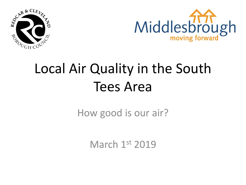



# Local Air Quality in the South Tees Area

How good is our air?

March 1st 2019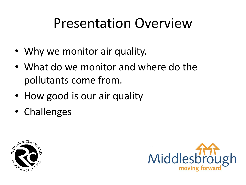### Presentation Overview

- Why we monitor air quality.
- What do we monitor and where do the pollutants come from.
- How good is our air quality
- Challenges



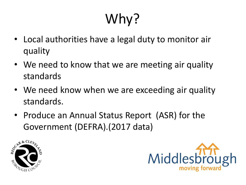# Why?

- Local authorities have a legal duty to monitor air quality
- We need to know that we are meeting air quality standards
- We need know when we are exceeding air quality standards.
- Produce an Annual Status Report (ASR) for the Government (DEFRA).(2017 data)



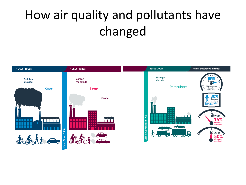## How air quality and pollutants have changed

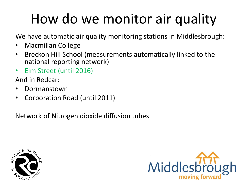# How do we monitor air quality

We have automatic air quality monitoring stations in Middlesbrough:

- Macmillan College
- Breckon Hill School (measurements automatically linked to the national reporting network)
- Elm Street (until 2016)

And in Redcar:

- Dormanstown
- Corporation Road (until 2011)

Network of Nitrogen dioxide diffusion tubes



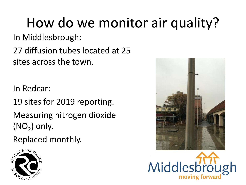How do we monitor air quality? In Middlesbrough: 27 diffusion tubes located at 25 sites across the town.

In Redcar:

19 sites for 2019 reporting.

Measuring nitrogen dioxide  $(NO<sub>2</sub>)$  only.





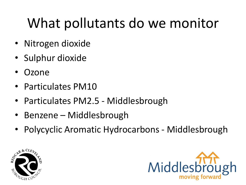# What pollutants do we monitor

- Nitrogen dioxide
- Sulphur dioxide
- Ozone
- Particulates PM10
- Particulates PM2.5 Middlesbrough
- Benzene Middlesbrough
- Polycyclic Aromatic Hydrocarbons Middlesbrough



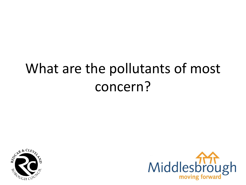# What are the pollutants of most concern?



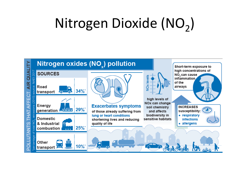# Nitrogen Dioxide (NO<sub>2</sub>)

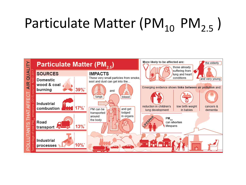# Particulate Matter  $(PM_{10} PM_{2.5})$

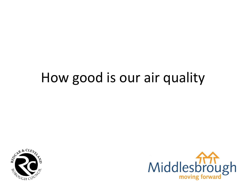### How good is our air quality



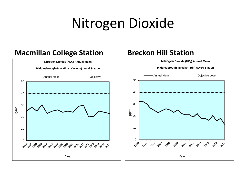## Nitrogen Dioxide

#### **Macmillan College Station Breckon Hill Station Nitrogen Dioxide (NO<sup>2</sup> ) Annual Mean Middlesbrough (MacMillan College) Local Station**  Annual Mean **Camera Contract** Properties 50 40 30 µg/m³ µg/m³ 20 10 **0 +** , 2002.20 , 000 v 2007 , 201. ್ದೊಂ  $\mathcal{L}^{\circ}$  $\omega^2$  $\hat{p}_{\mathcal{C}}$  $a^2a^2$ 2010 <u> "ద్ది, "ద్ది,</u>  $\approx$ con Year



**Nitrogen Dioxide (NO<sup>2</sup> ) Annual Mean**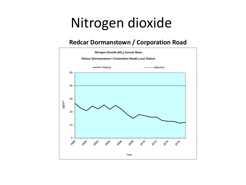### Nitrogen dioxide

#### **Redcar Dormanstown / Corporation Road**

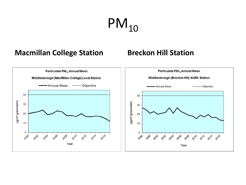# $PM_{10}$

### **Macmillan College Station Breckon Hill Station**



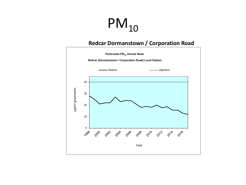# $PM_{10}$

#### **Redcar Dormanstown / Corporation Road**

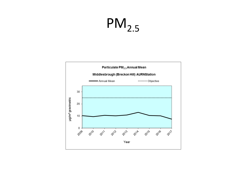# $PM<sub>2.5</sub>$

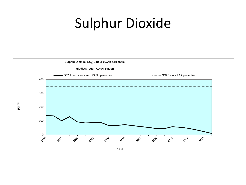### Sulphur Dioxide

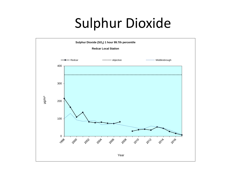### Sulphur Dioxide

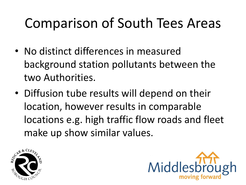# Comparison of South Tees Areas

- No distinct differences in measured background station pollutants between the two Authorities.
- Diffusion tube results will depend on their location, however results in comparable locations e.g. high traffic flow roads and fleet make up show similar values.



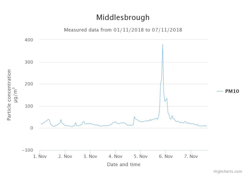### Middlesbrough

Measured data from 01/11/2018 to 07/11/2018



Highcharts.com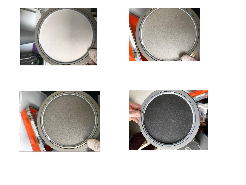